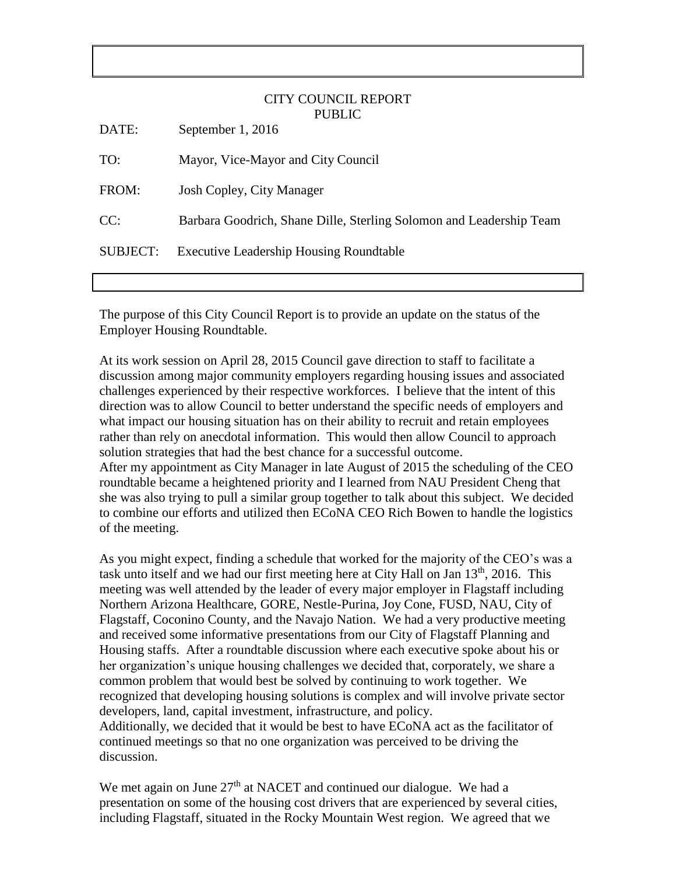## CITY COUNCIL REPORT PUBLIC

| DATE:           | September 1, 2016                                                   |
|-----------------|---------------------------------------------------------------------|
| TO:             | Mayor, Vice-Mayor and City Council                                  |
| FROM:           | Josh Copley, City Manager                                           |
| CC:             | Barbara Goodrich, Shane Dille, Sterling Solomon and Leadership Team |
| <b>SUBJECT:</b> | <b>Executive Leadership Housing Roundtable</b>                      |

The purpose of this City Council Report is to provide an update on the status of the Employer Housing Roundtable.

At its work session on April 28, 2015 Council gave direction to staff to facilitate a discussion among major community employers regarding housing issues and associated challenges experienced by their respective workforces. I believe that the intent of this direction was to allow Council to better understand the specific needs of employers and what impact our housing situation has on their ability to recruit and retain employees rather than rely on anecdotal information. This would then allow Council to approach solution strategies that had the best chance for a successful outcome. After my appointment as City Manager in late August of 2015 the scheduling of the CEO roundtable became a heightened priority and I learned from NAU President Cheng that she was also trying to pull a similar group together to talk about this subject. We decided to combine our efforts and utilized then ECoNA CEO Rich Bowen to handle the logistics of the meeting.

As you might expect, finding a schedule that worked for the majority of the CEO's was a task unto itself and we had our first meeting here at City Hall on Jan  $13<sup>th</sup>$ , 2016. This meeting was well attended by the leader of every major employer in Flagstaff including Northern Arizona Healthcare, GORE, Nestle-Purina, Joy Cone, FUSD, NAU, City of Flagstaff, Coconino County, and the Navajo Nation. We had a very productive meeting and received some informative presentations from our City of Flagstaff Planning and Housing staffs. After a roundtable discussion where each executive spoke about his or her organization's unique housing challenges we decided that, corporately, we share a common problem that would best be solved by continuing to work together. We recognized that developing housing solutions is complex and will involve private sector developers, land, capital investment, infrastructure, and policy. Additionally, we decided that it would be best to have ECoNA act as the facilitator of continued meetings so that no one organization was perceived to be driving the discussion.

We met again on June  $27<sup>th</sup>$  at NACET and continued our dialogue. We had a presentation on some of the housing cost drivers that are experienced by several cities, including Flagstaff, situated in the Rocky Mountain West region. We agreed that we